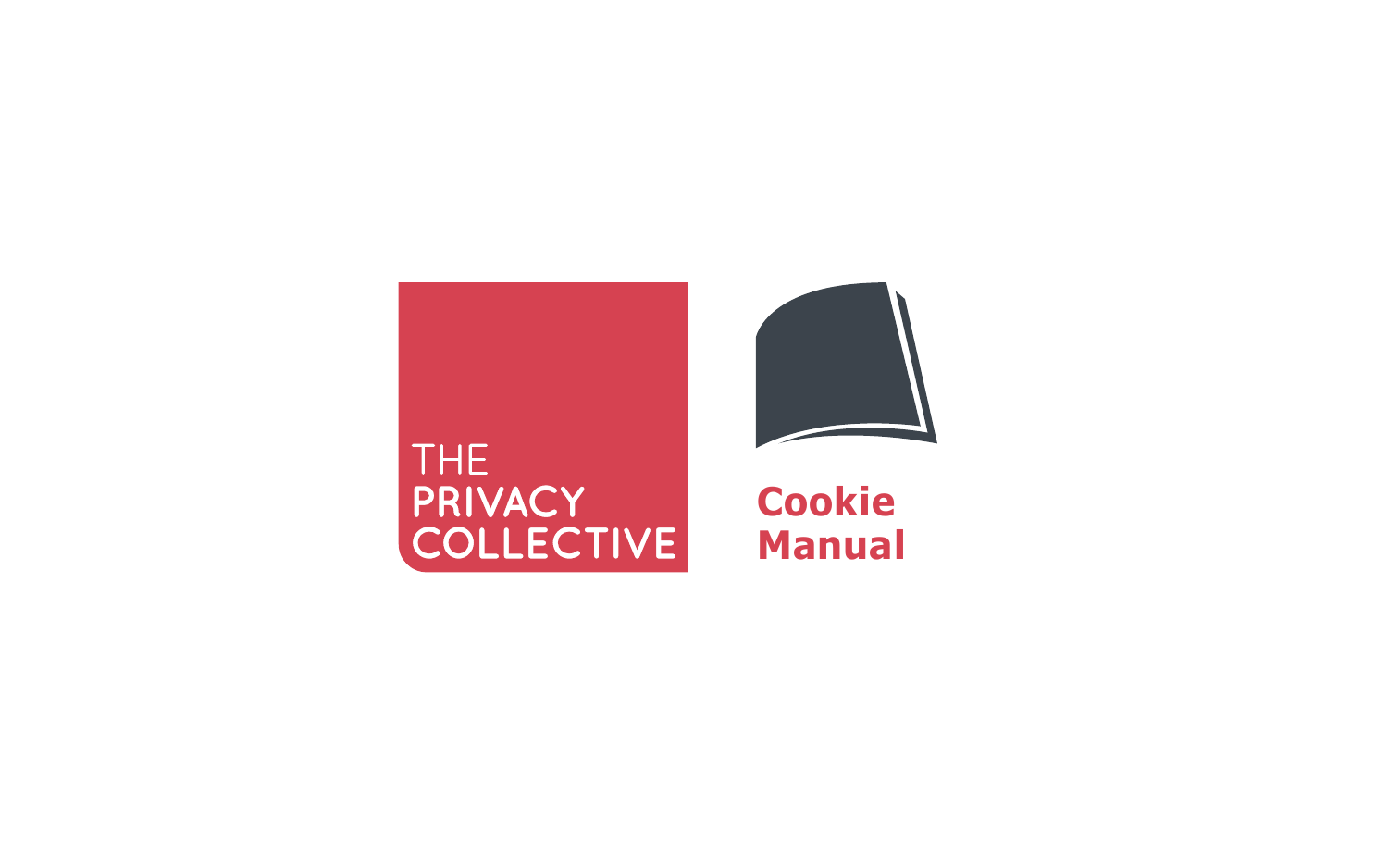# THE<br>PRIVACY<br>COLLECTIVE



## **Cookie Manual**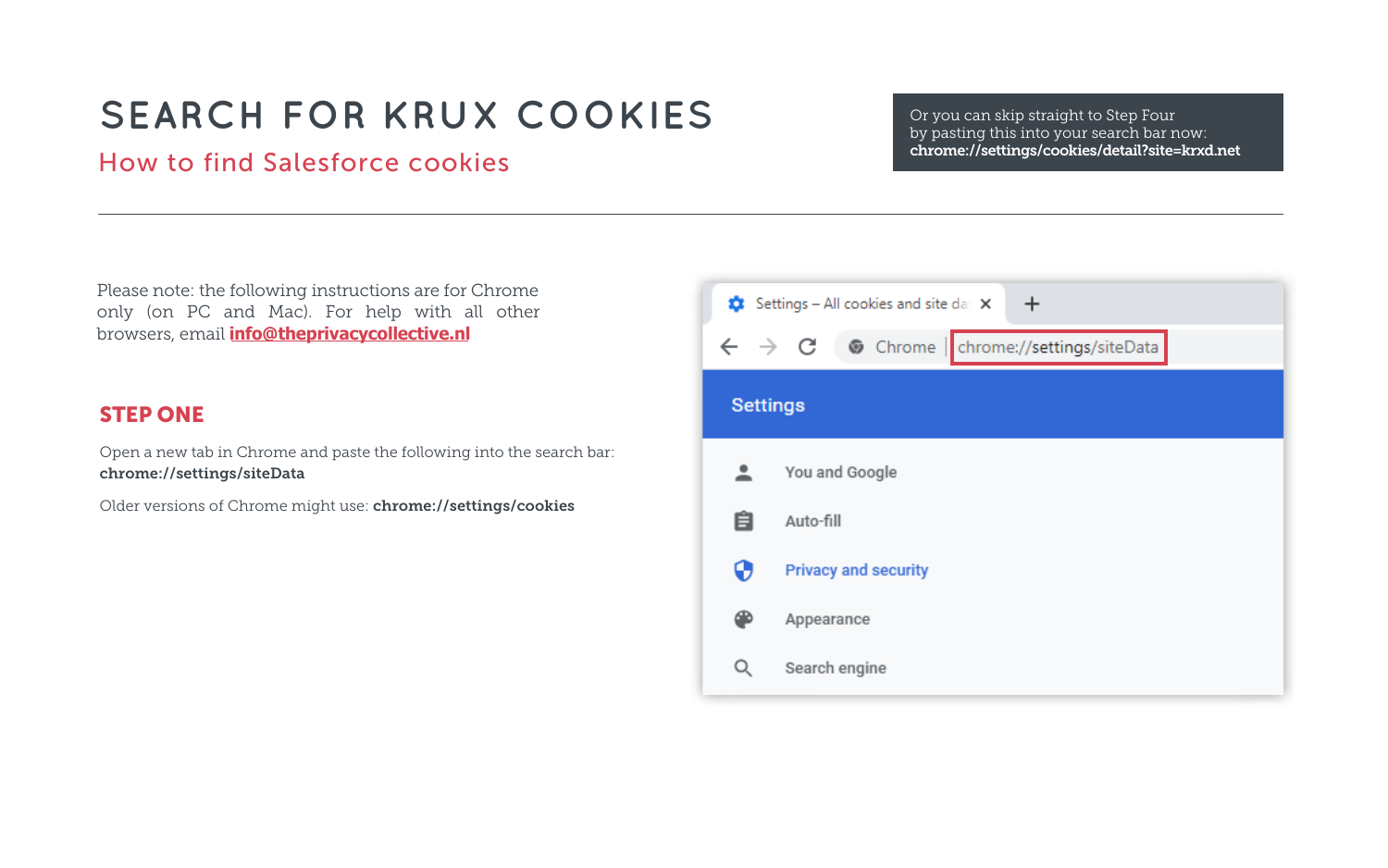## STEP ONE

Open a new tab in Chrome and paste the following into the search bar: chrome://settings/siteData

Older versions of Chrome might use: chrome://settings/cookies



Please note: the following instructions are for Chrome only (on PC and Mac). For help with all other browsers, email **[info@theprivacycoll](mailto:info%40theprivacycollective.eu?subject=I%20need%20help%20finding%20cookies%20in%20another%20browser)ective.nl**

# **SEARCH FOR KRUX COOKIES**

## How to find Salesforce cookies

Or you can skip straight to Step Four by pasting this into your search bar now: chrome://settings/cookies/detail?site=krxd.net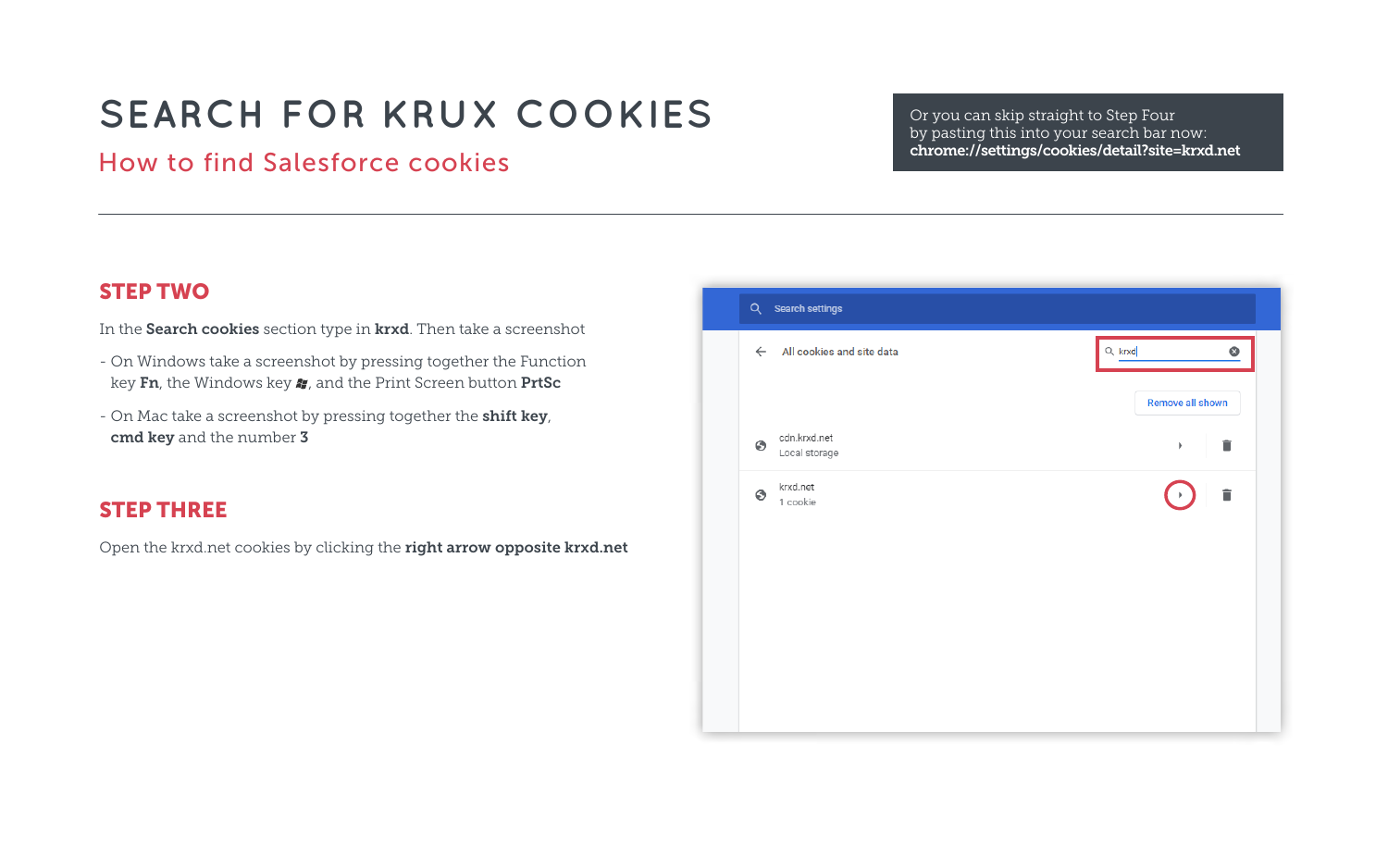#### STEP TWO

In the Search cookies section type in krxd. Then take a screenshot

- On Windows take a screenshot by pressing together the Function key Fn, the Windows key  $\clubsuit$ , and the Print Screen button PrtSc
- On Mac take a screenshot by pressing together the **shift key**, cmd key and the number 3

## STEP THREE

Open the krxd.net cookies by clicking the right arrow opposite krxd.net



Or you can skip straight to Step Four by pasting this into your search bar now: chrome://settings/cookies/detail?site=krxd.net

| $Q$ , krxd<br>Remove all shown | ◉ |
|--------------------------------|---|
| þ                              |   |
| î<br>$\blacktriangleright$     |   |
|                                |   |
|                                |   |
|                                |   |

# **SEARCH FOR KRUX COOKIES**

## How to find Salesforce cookies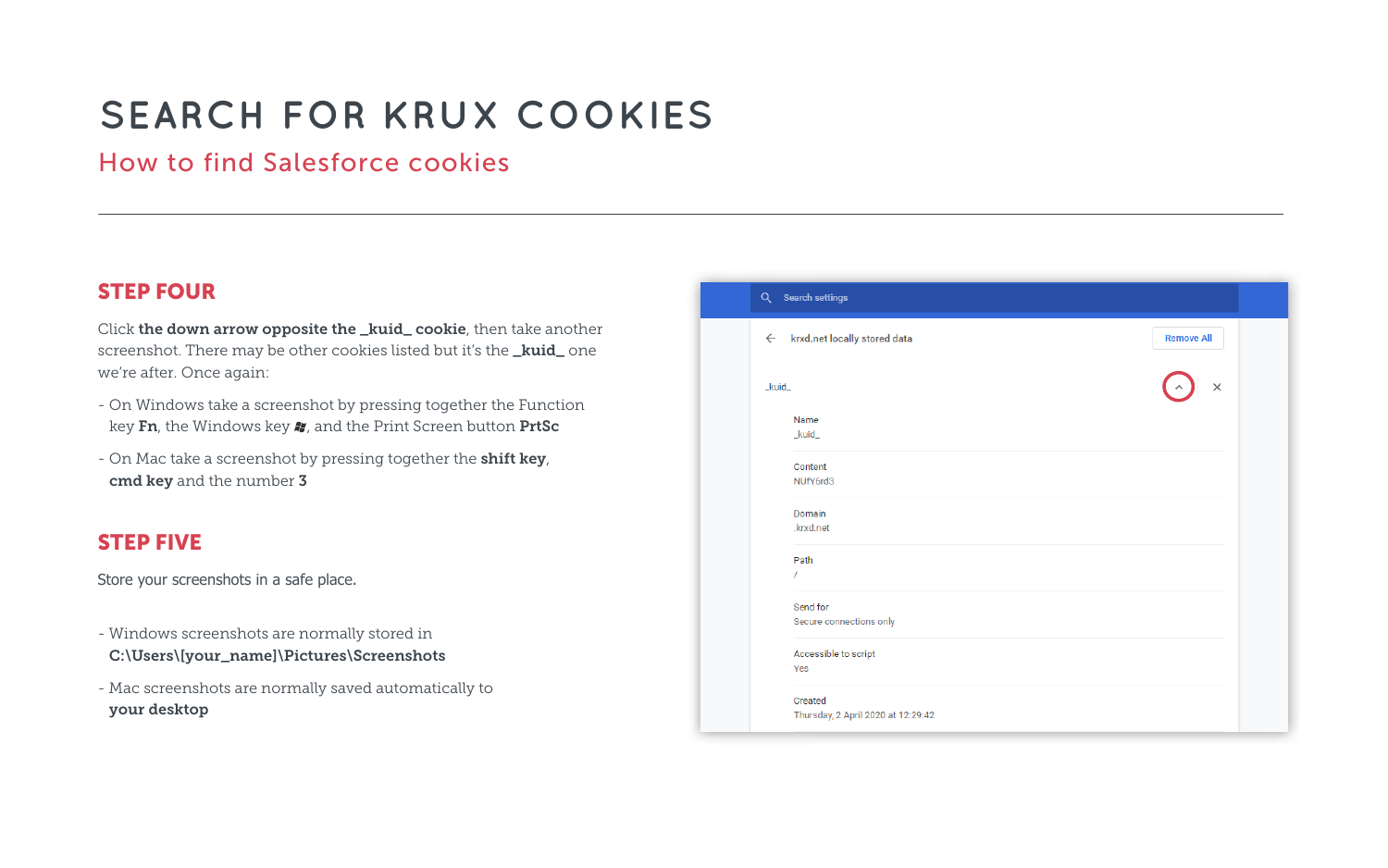#### STEP FOUR

Click the down arrow opposite the \_kuid\_cookie, then take another screenshot. There may be other cookies listed but it's the **\_kuid\_** one we're after. Once again:

- On Windows take a screenshot by pressing together the Function key Fn, the Windows key  $\bullet$ , and the Print Screen button PrtSc
- On Mac take a screenshot by pressing together the shift key, cmd key and the number 3

#### STEP FIVE

Store your screenshots in a [safe place.](mailto:info%40theprivacycollective.eu?subject=Krux%20Cookies)

- Windows screenshots are normally stored in C:\Users\[your\_name]\Pictures\Screenshots
- Mac screenshots are normally saved automatically to your desktop



| <b>Remove All</b>  |  |
|--------------------|--|
|                    |  |
| $\times$<br>$\sim$ |  |
|                    |  |
|                    |  |
|                    |  |
|                    |  |
|                    |  |
|                    |  |
|                    |  |
|                    |  |
|                    |  |
|                    |  |
|                    |  |
|                    |  |

# **SEARCH FOR KRUX COOKIES**

## How to find Salesforce cookies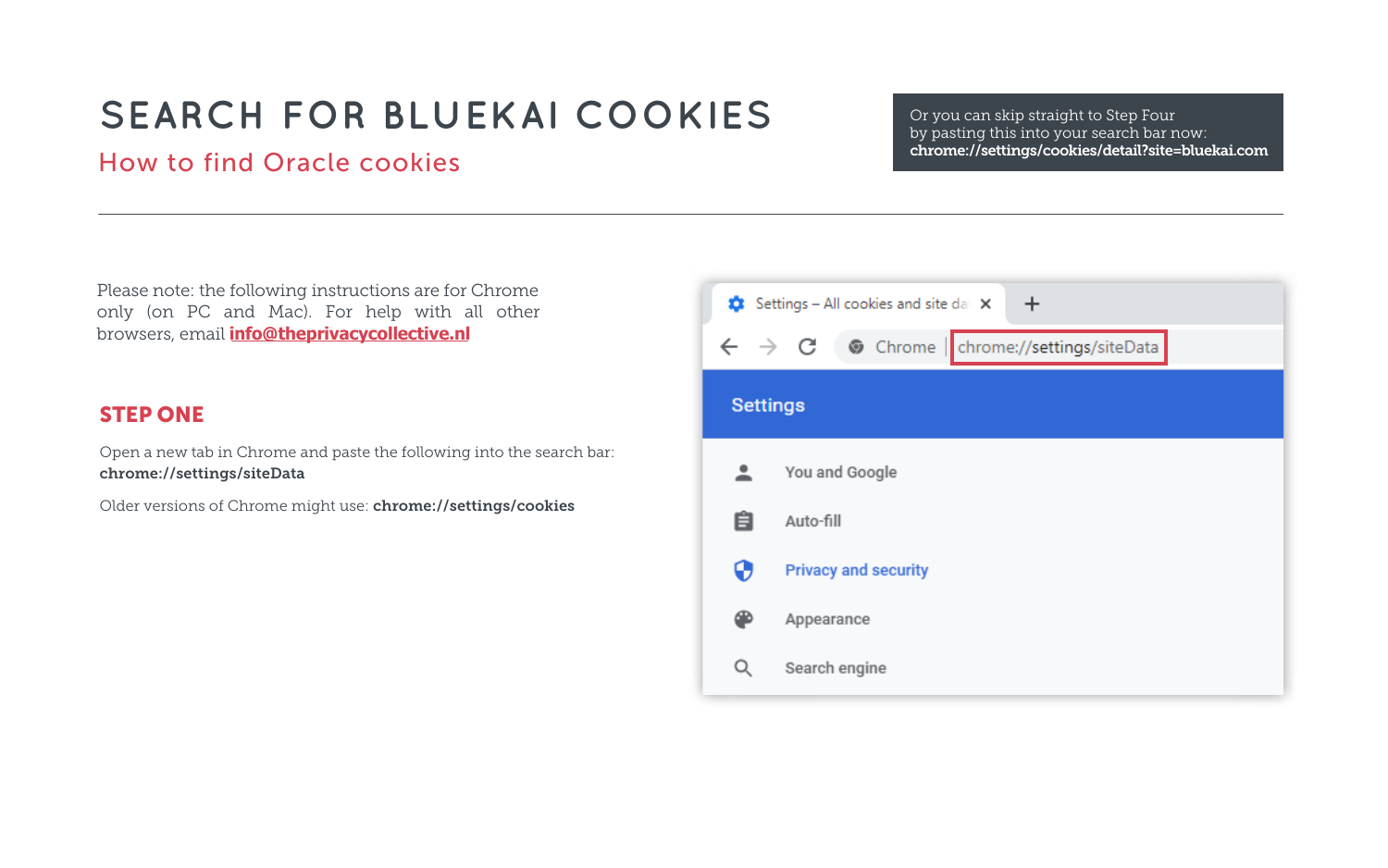## STEP ONE

Open a new tab in Chrome and paste the following into the search bar: chrome://settings/siteData

Older versions of Chrome might use: chrome://settings/cookies



Please note: the following instructions are for Chrome only (on PC and Mac). For help with all other browsers, email **[info@theprivacycoll](mailto:info%40theprivacycollective.eu?subject=I%20need%20help%20finding%20cookies%20in%20another%20browser)ective.nl**

Or you can skip straight to Step Four by pasting this into your search bar now: chrome://settings/cookies/detail?site=bluekai.com

# **SEARCH FOR BLUEKAI COOKIES**

## How to find Oracle cookies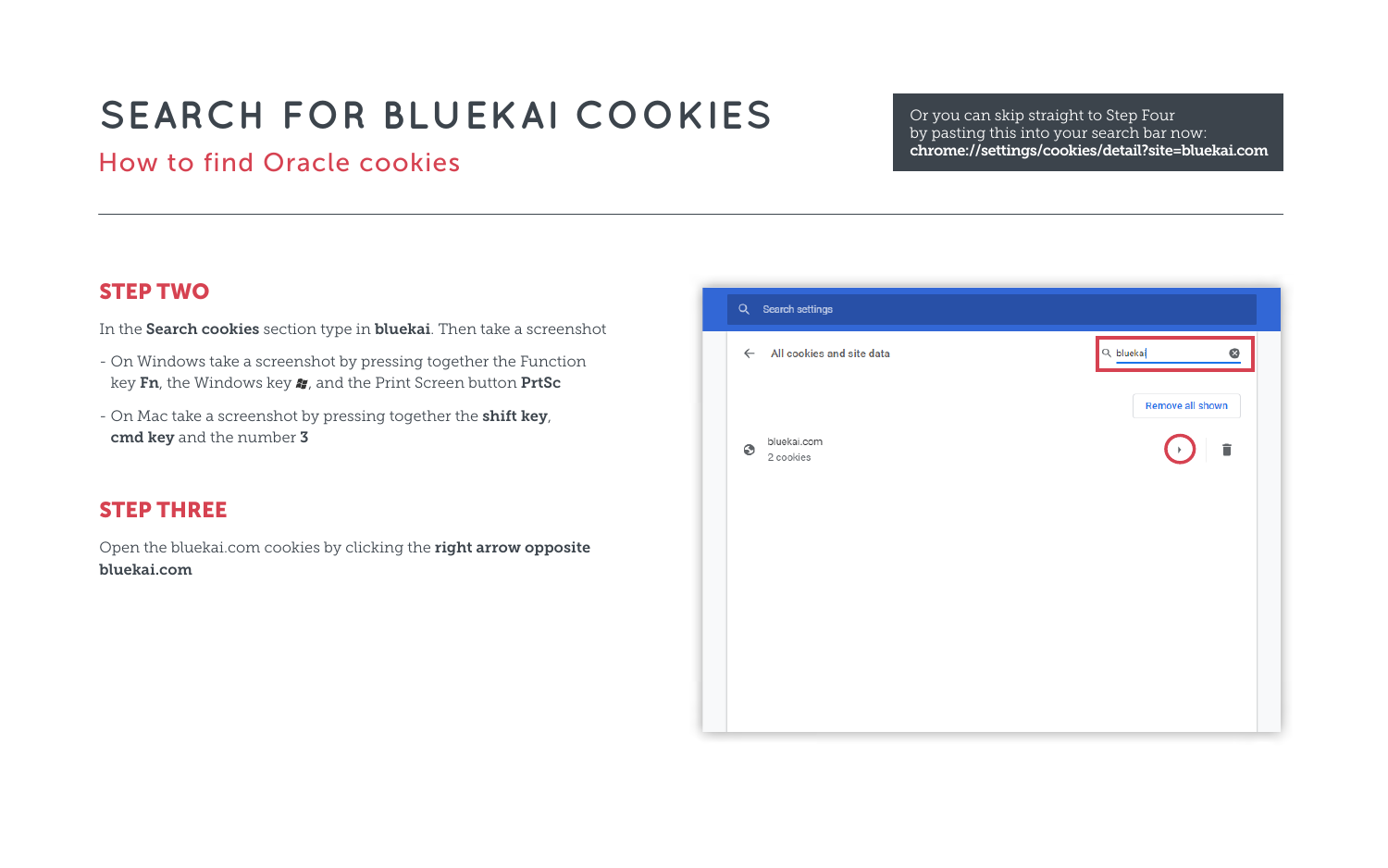#### STEP TWO

In the Search cookies section type in bluekai. Then take a screenshot

- On Windows take a screenshot by pressing together the Function key Fn, the Windows key  $\clubsuit$ , and the Print Screen button PrtSc
- On Mac take a screenshot by pressing together the **shift key**, cmd key and the number 3

Open the bluekai.com cookies by clicking the right arrow opposite bluekai.com



#### STEP THREE

Or you can skip straight to Step Four by pasting this into your search bar now: chrome://settings/cookies/detail?site=bluekai.com

| $\alpha$ bluekai<br>⊛ |  |
|-----------------------|--|
| Remove all shown      |  |
| î<br>$\mathbb{R}^n$   |  |
|                       |  |
|                       |  |
|                       |  |
|                       |  |
|                       |  |
|                       |  |

# **SEARCH FOR BLUEKAI COOKIES**

## How to find Oracle cookies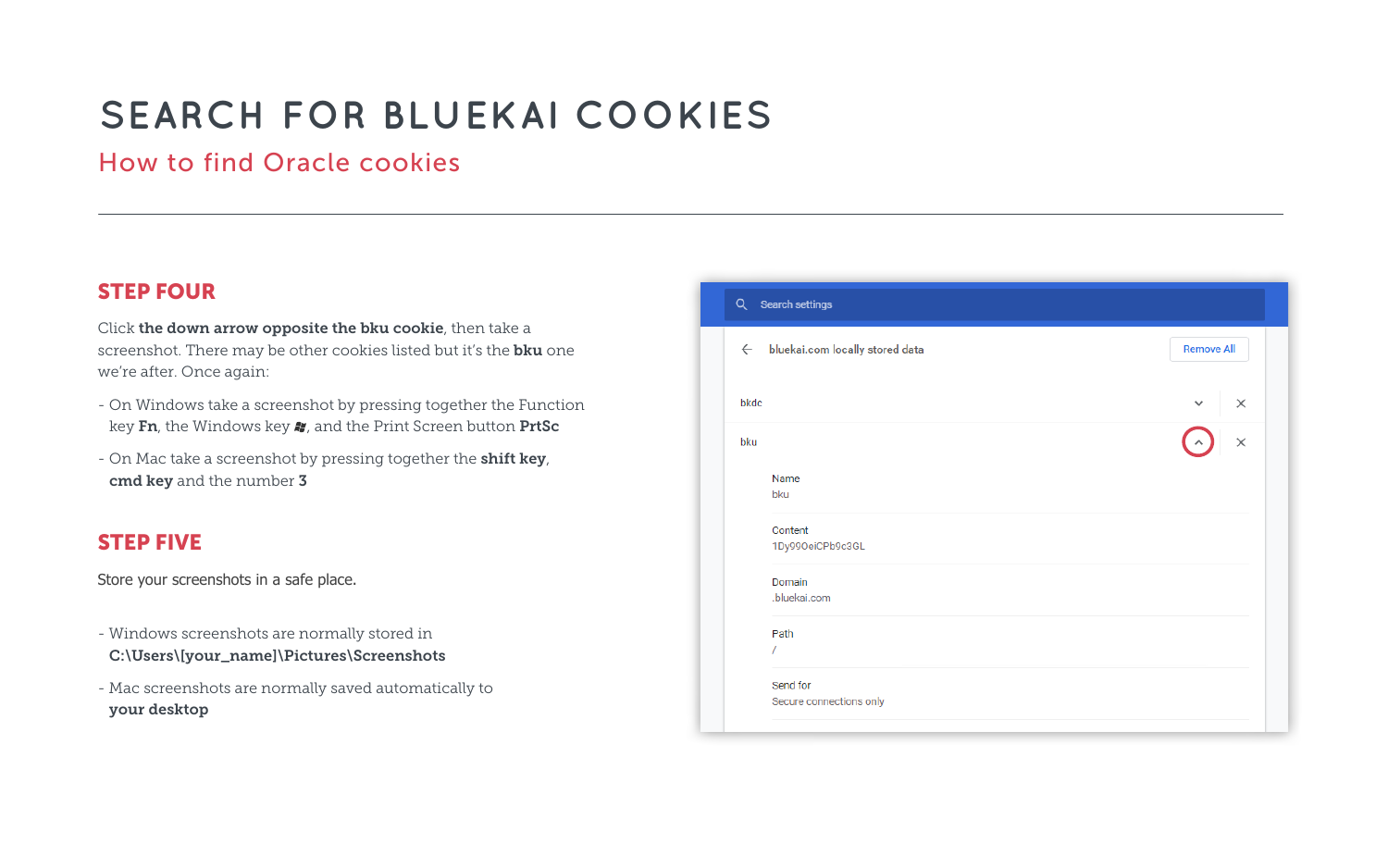#### STEP FOUR

Click the down arrow opposite the bku cookie, then take a screenshot. There may be other cookies listed but it's the **bku** one we're after. Once again:

- On Windows take a screenshot by pressing together the Function key Fn, the Windows key  $\bullet\hspace{-3.4mm}$ , and the Print Screen button PrtSc
- On Mac take a screenshot by pressing together the shift key, cmd key and the number 3

#### STEP FIVE

Store your screenshots in a [safe place.](mailto:info%40theprivacycollective.eu?subject=Bluekai%20Cookies)

- Windows screenshots are normally stored in C:\Users\[your\_name]\Pictures\Screenshots
- Mac screenshots are normally saved automatically to your desktop

| Q Search settings                            |                          |
|----------------------------------------------|--------------------------|
| $\leftarrow$ bluekai.com locally stored data | <b>Remove All</b>        |
| bkdc                                         | $\times$<br>$\checkmark$ |
| bku                                          | $\overline{\mathbf{x}}$  |
| Name<br>bku                                  |                          |
| Content<br>1Dy99OeiCPb9c3GL                  |                          |
| Domain<br>.bluekai.com                       |                          |
| Path<br>$\sqrt{2}$                           |                          |
| Send for<br>Secure connections only          |                          |

# **SEARCH FOR BLUEKAI COOKIES**

## How to find Oracle cookies